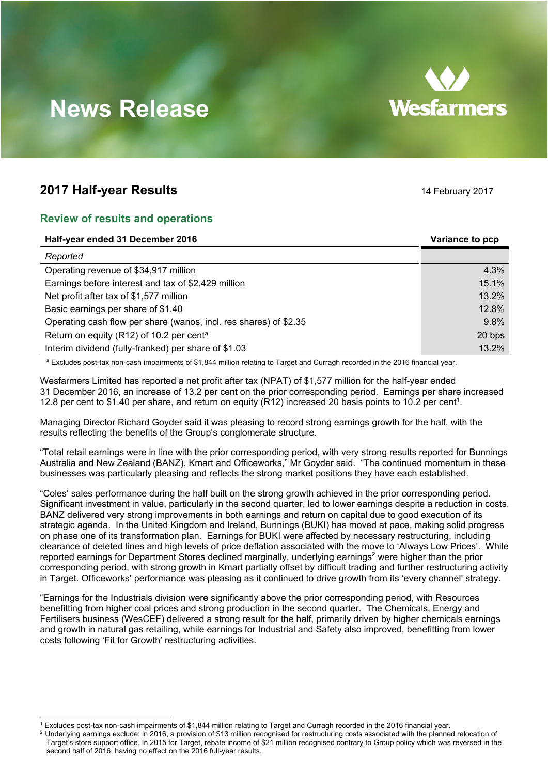# **Wesfarmers**

## **News Release**

### **2017 Half-year Results** 14 February 2017

#### **Review of results and operations**

| Half-year ended 31 December 2016                                  | Variance to pcp |
|-------------------------------------------------------------------|-----------------|
| Reported                                                          |                 |
| Operating revenue of \$34,917 million                             | 4.3%            |
| Earnings before interest and tax of \$2,429 million               | 15.1%           |
| Net profit after tax of \$1,577 million                           | 13.2%           |
| Basic earnings per share of \$1.40                                | 12.8%           |
| Operating cash flow per share (wanos, incl. res shares) of \$2.35 | 9.8%            |
| Return on equity (R12) of 10.2 per cent <sup>a</sup>              | 20 bps          |
| Interim dividend (fully-franked) per share of \$1.03              | 13.2%           |

a Excludes post-tax non-cash impairments of \$1,844 million relating to Target and Curragh recorded in the 2016 financial year.

Wesfarmers Limited has reported a net profit after tax (NPAT) of \$1,577 million for the half-year ended 31 December 2016, an increase of 13.2 per cent on the prior corresponding period. Earnings per share increased 12.8 per cent to \$1.40 per share, and return on equity (R12) increased 20 basis points to 10.2 per cent<sup>1</sup>.

Managing Director Richard Goyder said it was pleasing to record strong earnings growth for the half, with the results reflecting the benefits of the Group's conglomerate structure.

"Total retail earnings were in line with the prior corresponding period, with very strong results reported for Bunnings Australia and New Zealand (BANZ), Kmart and Officeworks," Mr Goyder said. "The continued momentum in these businesses was particularly pleasing and reflects the strong market positions they have each established.

"Coles' sales performance during the half built on the strong growth achieved in the prior corresponding period. Significant investment in value, particularly in the second quarter, led to lower earnings despite a reduction in costs. BANZ delivered very strong improvements in both earnings and return on capital due to good execution of its strategic agenda. In the United Kingdom and Ireland, Bunnings (BUKI) has moved at pace, making solid progress on phase one of its transformation plan. Earnings for BUKI were affected by necessary restructuring, including clearance of deleted lines and high levels of price deflation associated with the move to 'Always Low Prices'. While reported earnings for Department Stores declined marginally, underlying earnings<sup>2</sup> were higher than the prior corresponding period, with strong growth in Kmart partially offset by difficult trading and further restructuring activity in Target. Officeworks' performance was pleasing as it continued to drive growth from its 'every channel' strategy.

"Earnings for the Industrials division were significantly above the prior corresponding period, with Resources benefitting from higher coal prices and strong production in the second quarter. The Chemicals, Energy and Fertilisers business (WesCEF) delivered a strong result for the half, primarily driven by higher chemicals earnings and growth in natural gas retailing, while earnings for Industrial and Safety also improved, benefitting from lower costs following 'Fit for Growth' restructuring activities.

 1 Excludes post-tax non-cash impairments of \$1,844 million relating to Target and Curragh recorded in the 2016 financial year.

 $2$  Underlying earnings exclude: in 2016, a provision of \$13 million recognised for restructuring costs associated with the planned relocation of Target's store support office. In 2015 for Target, rebate income of \$21 million recognised contrary to Group policy which was reversed in the second half of 2016, having no effect on the 2016 full-year results.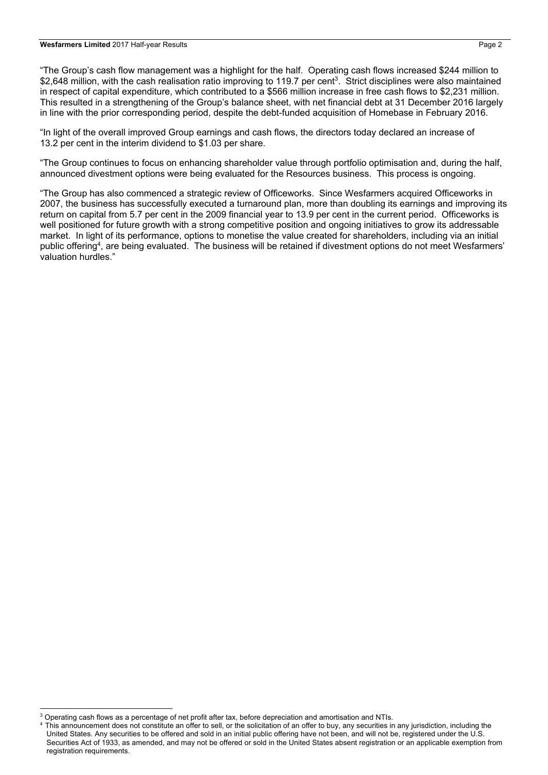#### **Wesfarmers Limited** 2017 Half-year Results Page 2

"The Group's cash flow management was a highlight for the half. Operating cash flows increased \$244 million to \$2,648 million, with the cash realisation ratio improving to 119.7 per cent<sup>3</sup>. Strict disciplines were also maintained in respect of capital expenditure, which contributed to a \$566 million increase in free cash flows to \$2,231 million. This resulted in a strengthening of the Group's balance sheet, with net financial debt at 31 December 2016 largely in line with the prior corresponding period, despite the debt-funded acquisition of Homebase in February 2016.

"In light of the overall improved Group earnings and cash flows, the directors today declared an increase of 13.2 per cent in the interim dividend to \$1.03 per share.

"The Group continues to focus on enhancing shareholder value through portfolio optimisation and, during the half, announced divestment options were being evaluated for the Resources business. This process is ongoing.

"The Group has also commenced a strategic review of Officeworks. Since Wesfarmers acquired Officeworks in 2007, the business has successfully executed a turnaround plan, more than doubling its earnings and improving its return on capital from 5.7 per cent in the 2009 financial year to 13.9 per cent in the current period. Officeworks is well positioned for future growth with a strong competitive position and ongoing initiatives to grow its addressable market. In light of its performance, options to monetise the value created for shareholders, including via an initial public offering<sup>4</sup>, are being evaluated. The business will be retained if divestment options do not meet Wesfarmers' valuation hurdles."

<sup>4</sup> This announcement does not constitute an offer to sell, or the solicitation of an offer to buy, any securities in any jurisdiction, including the United States. Any securities to be offered and sold in an initial public offering have not been, and will not be, registered under the U.S. Securities Act of 1933, as amended, and may not be offered or sold in the United States absent registration or an applicable exemption from registration requirements.

 $^3$  Operating cash flows as a percentage of net profit after tax, before depreciation and amortisation and NTIs.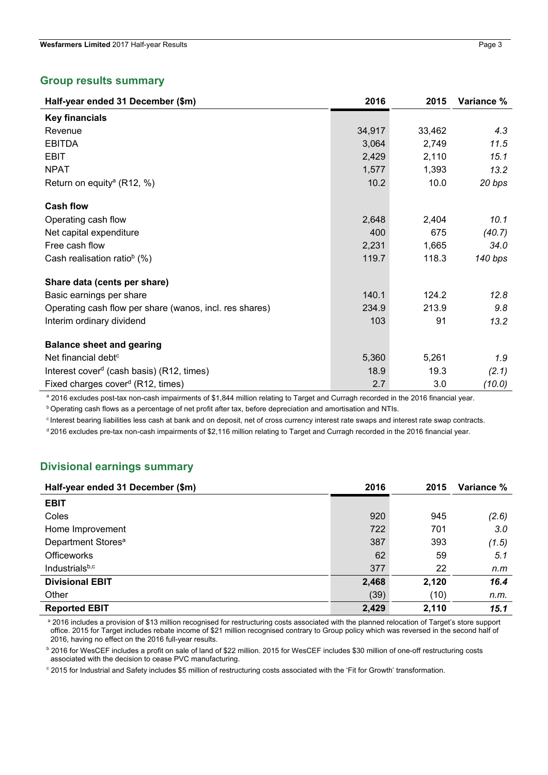#### **Group results summary**

| Half-year ended 31 December (\$m)                       | 2016   | 2015   | Variance % |
|---------------------------------------------------------|--------|--------|------------|
| <b>Key financials</b>                                   |        |        |            |
| Revenue                                                 | 34,917 | 33,462 | 4.3        |
| <b>EBITDA</b>                                           | 3,064  | 2,749  | 11.5       |
| <b>EBIT</b>                                             | 2,429  | 2,110  | 15.1       |
| <b>NPAT</b>                                             | 1,577  | 1,393  | 13.2       |
| Return on equity <sup>a</sup> (R12, %)                  | 10.2   | 10.0   | 20 bps     |
| <b>Cash flow</b>                                        |        |        |            |
| Operating cash flow                                     | 2,648  | 2,404  | 10.1       |
| Net capital expenditure                                 | 400    | 675    | (40.7)     |
| Free cash flow                                          | 2,231  | 1,665  | 34.0       |
| Cash realisation ratio <sup>b</sup> (%)                 | 119.7  | 118.3  | 140 bps    |
| Share data (cents per share)                            |        |        |            |
| Basic earnings per share                                | 140.1  | 124.2  | 12.8       |
| Operating cash flow per share (wanos, incl. res shares) | 234.9  | 213.9  | 9.8        |
| Interim ordinary dividend                               | 103    | 91     | 13.2       |
| <b>Balance sheet and gearing</b>                        |        |        |            |
| Net financial debt <sup>c</sup>                         | 5,360  | 5,261  | 1.9        |
| Interest cover <sup>d</sup> (cash basis) (R12, times)   | 18.9   | 19.3   | (2.1)      |
| Fixed charges cover <sup>d</sup> (R12, times)           | 2.7    | 3.0    | (10.0)     |

a 2016 excludes post-tax non-cash impairments of \$1,844 million relating to Target and Curragh recorded in the 2016 financial year.

**b Operating cash flows as a percentage of net profit after tax, before depreciation and amortisation and NTIs.** 

c Interest bearing liabilities less cash at bank and on deposit, net of cross currency interest rate swaps and interest rate swap contracts.

d 2016 excludes pre-tax non-cash impairments of \$2,116 million relating to Target and Curragh recorded in the 2016 financial year.

#### **Divisional earnings summary**

| Half-year ended 31 December (\$m) | 2016  | 2015  | Variance % |
|-----------------------------------|-------|-------|------------|
| <b>EBIT</b>                       |       |       |            |
| Coles                             | 920   | 945   | (2.6)      |
| Home Improvement                  | 722   | 701   | 3.0        |
| Department Stores <sup>a</sup>    | 387   | 393   | (1.5)      |
| <b>Officeworks</b>                | 62    | 59    | 5.1        |
| Industrialsb,c                    | 377   | 22    | n.m        |
| <b>Divisional EBIT</b>            | 2,468 | 2,120 | 16.4       |
| Other                             | (39)  | (10)  | n.m.       |
| <b>Reported EBIT</b>              | 2,429 | 2,110 | 15.1       |

a 2016 includes a provision of \$13 million recognised for restructuring costs associated with the planned relocation of Target's store support office. 2015 for Target includes rebate income of \$21 million recognised contrary to Group policy which was reversed in the second half of 2016, having no effect on the 2016 full-year results.

**b** 2016 for WesCEF includes a profit on sale of land of \$22 million. 2015 for WesCEF includes \$30 million of one-off restructuring costs associated with the decision to cease PVC manufacturing.

c 2015 for Industrial and Safety includes \$5 million of restructuring costs associated with the 'Fit for Growth' transformation.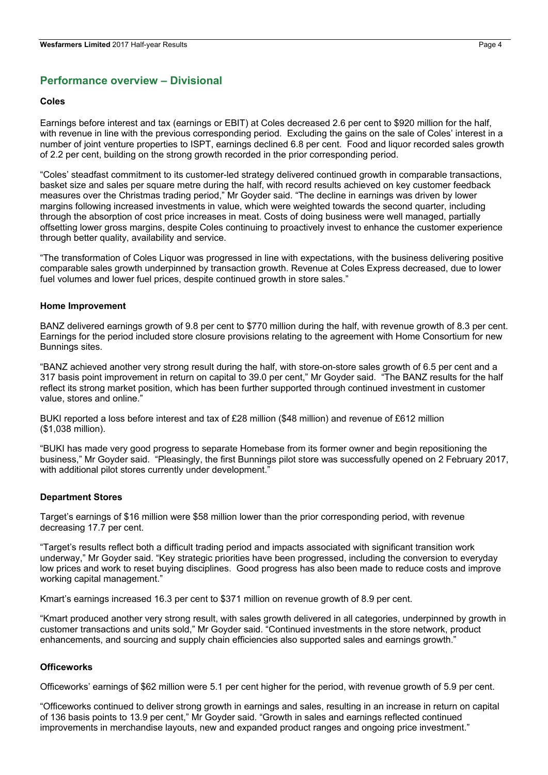#### **Performance overview – Divisional**

#### **Coles**

Earnings before interest and tax (earnings or EBIT) at Coles decreased 2.6 per cent to \$920 million for the half, with revenue in line with the previous corresponding period. Excluding the gains on the sale of Coles' interest in a number of joint venture properties to ISPT, earnings declined 6.8 per cent. Food and liquor recorded sales growth of 2.2 per cent, building on the strong growth recorded in the prior corresponding period.

"Coles' steadfast commitment to its customer-led strategy delivered continued growth in comparable transactions, basket size and sales per square metre during the half, with record results achieved on key customer feedback measures over the Christmas trading period," Mr Goyder said. "The decline in earnings was driven by lower margins following increased investments in value, which were weighted towards the second quarter, including through the absorption of cost price increases in meat. Costs of doing business were well managed, partially offsetting lower gross margins, despite Coles continuing to proactively invest to enhance the customer experience through better quality, availability and service.

"The transformation of Coles Liquor was progressed in line with expectations, with the business delivering positive comparable sales growth underpinned by transaction growth. Revenue at Coles Express decreased, due to lower fuel volumes and lower fuel prices, despite continued growth in store sales."

#### **Home Improvement**

BANZ delivered earnings growth of 9.8 per cent to \$770 million during the half, with revenue growth of 8.3 per cent. Earnings for the period included store closure provisions relating to the agreement with Home Consortium for new Bunnings sites.

"BANZ achieved another very strong result during the half, with store-on-store sales growth of 6.5 per cent and a 317 basis point improvement in return on capital to 39.0 per cent," Mr Goyder said. "The BANZ results for the half reflect its strong market position, which has been further supported through continued investment in customer value, stores and online."

BUKI reported a loss before interest and tax of £28 million (\$48 million) and revenue of £612 million (\$1,038 million).

"BUKI has made very good progress to separate Homebase from its former owner and begin repositioning the business," Mr Goyder said. "Pleasingly, the first Bunnings pilot store was successfully opened on 2 February 2017, with additional pilot stores currently under development."

#### **Department Stores**

Target's earnings of \$16 million were \$58 million lower than the prior corresponding period, with revenue decreasing 17.7 per cent.

"Target's results reflect both a difficult trading period and impacts associated with significant transition work underway," Mr Goyder said. "Key strategic priorities have been progressed, including the conversion to everyday low prices and work to reset buying disciplines. Good progress has also been made to reduce costs and improve working capital management."

Kmart's earnings increased 16.3 per cent to \$371 million on revenue growth of 8.9 per cent.

"Kmart produced another very strong result, with sales growth delivered in all categories, underpinned by growth in customer transactions and units sold," Mr Goyder said. "Continued investments in the store network, product enhancements, and sourcing and supply chain efficiencies also supported sales and earnings growth."

#### **Officeworks**

Officeworks' earnings of \$62 million were 5.1 per cent higher for the period, with revenue growth of 5.9 per cent.

"Officeworks continued to deliver strong growth in earnings and sales, resulting in an increase in return on capital of 136 basis points to 13.9 per cent," Mr Goyder said. "Growth in sales and earnings reflected continued improvements in merchandise layouts, new and expanded product ranges and ongoing price investment."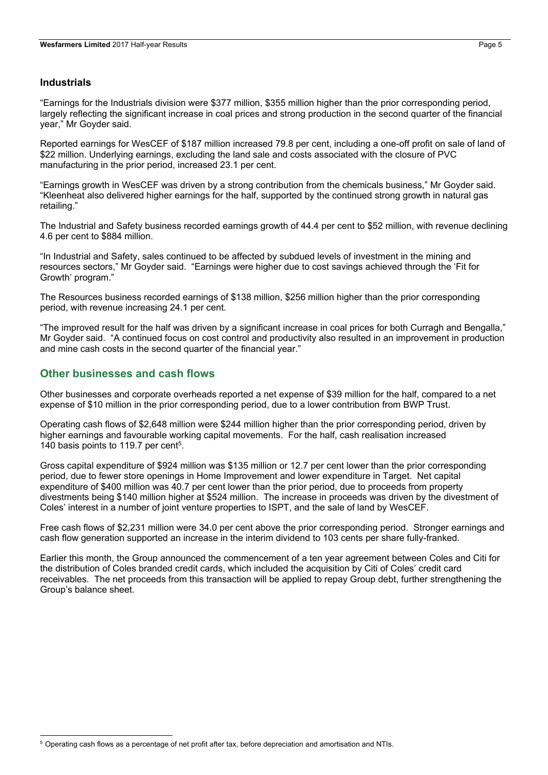#### **Industrials**

"Earnings for the Industrials division were \$377 million, \$355 million higher than the prior corresponding period, largely reflecting the significant increase in coal prices and strong production in the second quarter of the financial year," Mr Goyder said.

Reported earnings for WesCEF of \$187 million increased 79.8 per cent, including a one-off profit on sale of land of \$22 million. Underlying earnings, excluding the land sale and costs associated with the closure of PVC manufacturing in the prior period, increased 23.1 per cent.

"Earnings growth in WesCEF was driven by a strong contribution from the chemicals business," Mr Goyder said. "Kleenheat also delivered higher earnings for the half, supported by the continued strong growth in natural gas retailing."

The Industrial and Safety business recorded earnings growth of 44.4 per cent to \$52 million, with revenue declining 4.6 per cent to \$884 million.

"In Industrial and Safety, sales continued to be affected by subdued levels of investment in the mining and resources sectors," Mr Goyder said. "Earnings were higher due to cost savings achieved through the 'Fit for Growth' program."

The Resources business recorded earnings of \$138 million, \$256 million higher than the prior corresponding period, with revenue increasing 24.1 per cent.

"The improved result for the half was driven by a significant increase in coal prices for both Curragh and Bengalla," Mr Goyder said. "A continued focus on cost control and productivity also resulted in an improvement in production and mine cash costs in the second quarter of the financial year."

#### **Other businesses and cash flows**

Other businesses and corporate overheads reported a net expense of \$39 million for the half, compared to a net expense of \$10 million in the prior corresponding period, due to a lower contribution from BWP Trust.

Operating cash flows of \$2,648 million were \$244 million higher than the prior corresponding period, driven by higher earnings and favourable working capital movements. For the half, cash realisation increased 140 basis points to 119.7 per cent<sup>5</sup>.

Gross capital expenditure of \$924 million was \$135 million or 12.7 per cent lower than the prior corresponding period, due to fewer store openings in Home Improvement and lower expenditure in Target. Net capital expenditure of \$400 million was 40.7 per cent lower than the prior period, due to proceeds from property divestments being \$140 million higher at \$524 million. The increase in proceeds was driven by the divestment of Coles' interest in a number of joint venture properties to ISPT, and the sale of land by WesCEF.

Free cash flows of \$2,231 million were 34.0 per cent above the prior corresponding period. Stronger earnings and cash flow generation supported an increase in the interim dividend to 103 cents per share fully-franked.

Earlier this month, the Group announced the commencement of a ten year agreement between Coles and Citi for the distribution of Coles branded credit cards, which included the acquisition by Citi of Coles' credit card receivables. The net proceeds from this transaction will be applied to repay Group debt, further strengthening the Group's balance sheet.

<sup>5</sup> Operating cash flows as a percentage of net profit after tax, before depreciation and amortisation and NTIs.